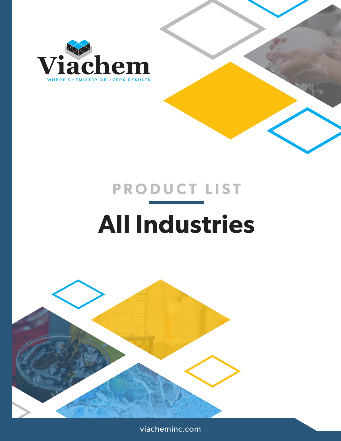

# **All Industries PRODUCT LIST**



viacheminc.com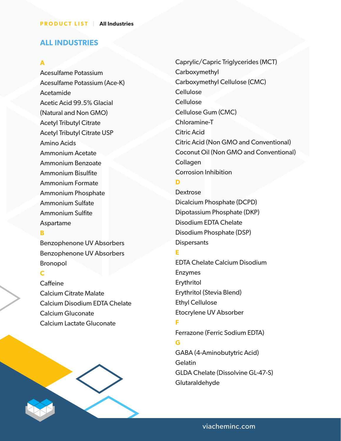## **ALL INDUSTRIES**

#### **A**

Acesulfame Potassium Acesulfame Potassium (Ace-K) Acetamide Acetic Acid 99.5% Glacial (Natural and Non GMO) Acetyl Tributyl Citrate Acetyl Tributyl Citrate USP Amino Acids Ammonium Acetate Ammonium Benzoate Ammonium Bisulfite Ammonium Formate Ammonium Phosphate Ammonium Sulfate Ammonium Sulfite Aspartame

#### **B**

Benzophenone UV Absorbers Benzophenone UV Absorbers Bronopol

## **C**

**Caffeine** Calcium Citrate Malate Calcium Disodium EDTA Chelate Calcium Gluconate Calcium Lactate Gluconate



Caprylic/Capric Triglycerides (MCT) Carboxymethyl Carboxymethyl Cellulose (CMC) **Cellulose** Cellulose Cellulose Gum (CMC) Chloramine-T Citric Acid Citric Acid (Non GMO and Conventional) Coconut Oil (Non GMO and Conventional) Collagen Corrosion Inhibition

## **D**

Dextrose Dicalcium Phosphate (DCPD) Dipotassium Phosphate (DKP) Disodium EDTA Chelate Disodium Phosphate (DSP) **Dispersants** 

## **E**

EDTA Chelate Calcium Disodium Enzymes Erythritol Erythritol (Stevia Blend) Ethyl Cellulose Etocrylene UV Absorber

## **F**

Ferrazone (Ferric Sodium EDTA)

#### **G**

GABA (4-Aminobutytric Acid) **Gelatin** GLDA Chelate (Dissolvine GL-47-S) Glutaraldehyde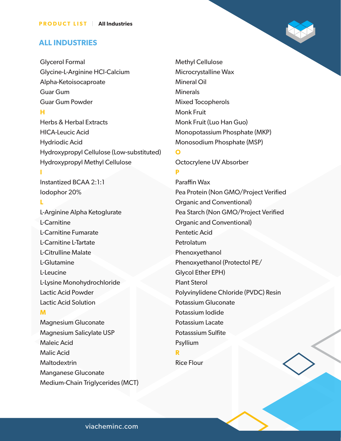#### **ALL INDUSTRIES**

Glycerol Formal Glycine-L-Arginine HCl-Calcium Alpha-Ketoisocaproate Guar Gum Guar Gum Powder

## **H**

Herbs & Herbal Extracts HICA-Leucic Acid Hydriodic Acid Hydroxypropyl Cellulose (Low-substituted) Hydroxypropyl Methyl Cellulose

Instantized BCAA 2:1:1 Iodophor 20%

## **L**

**I**

L-Arginine Alpha Ketoglurate L-Carnitine L-Carnitine Fumarate L-Carnitine L-Tartate L-Citrulline Malate L-Glutamine L-Leucine L-Lysine Monohydrochloride Lactic Acid Powder Lactic Acid Solution

## **M**

Magnesium Gluconate Magnesium Salicylate USP Maleic Acid Malic Acid **Maltodextrin** Manganese Gluconate Medium-Chain Triglycerides (MCT) Methyl Cellulose Microcrystalline Wax Mineral Oil **Minerals** Mixed Tocopherols Monk Fruit Monk Fruit (Luo Han Guo) Monopotassium Phosphate (MKP) Monosodium Phosphate (MSP)

Octocrylene UV Absorber

#### **P**

**O**

Paraffin Wax Pea Protein (Non GMO/Project Verified Organic and Conventional) Pea Starch (Non GMO/Project Verified Organic and Conventional) Pentetic Acid **Petrolatum** Phenoxyethanol Phenoxyethanol (Protectol PE/ Glycol Ether EPH) Plant Sterol Polyvinylidene Chloride (PVDC) Resin Potassium Gluconate Potassium Iodide Potassium Lacate Potasssium Sulfite Psyllium

#### **R**

Rice Flour